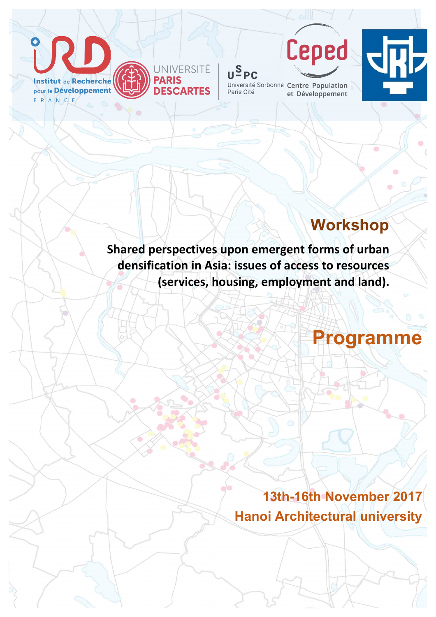

**INIVERSITÉ DESCARTES** 

 $U^{\text{S}}$ PC Université Sorbonne Centre Population Paris Cité et Développement

Ceped



# **Workshop**

**Shared perspectives upon emergent forms of urban** densification in Asia: issues of access to resources **(services, housing, employment and land).** 



## **13th-16th November 2017 Hanoi Architectural university**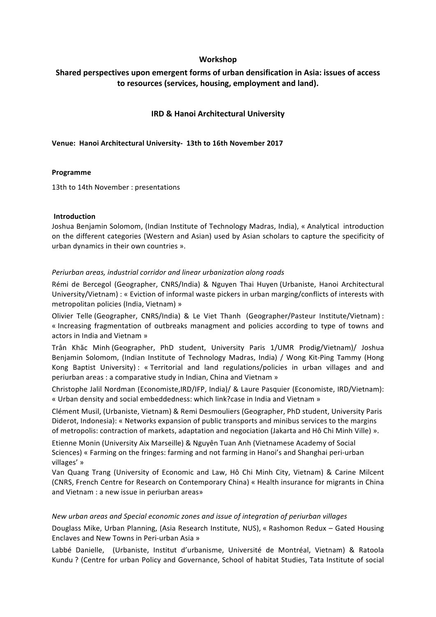#### **Workshop**

## Shared perspectives upon emergent forms of urban densification in Asia: issues of access to resources (services, housing, employment and land).

#### **IRD & Hanoi Architectural University**

#### **Venue: Hanoi Architectural University- 13th to 16th November 2017**

#### **Programme**

13th to 14th November : presentations

#### **Introduction**

Joshua Benjamin Solomom, (Indian Institute of Technology Madras, India), « Analytical introduction on the different categories (Western and Asian) used by Asian scholars to capture the specificity of urban dynamics in their own countries ».

#### *Periurban areas, industrial corridor and linear urbanization along roads*

Rémi de Bercegol (Geographer, CNRS/India) & Nguyen Thai Huyen (Urbaniste, Hanoi Architectural University/Vietnam) : « Eviction of informal waste pickers in urban marging/conflicts of interests with metropolitan policies (India, Vietnam) »

Olivier Telle (Geographer, CNRS/India) & Le Viet Thanh (Geographer/Pasteur Institute/Vietnam) : « Increasing fragmentation of outbreaks managment and policies according to type of towns and actors in India and Vietnam »

Trân Khăc Minh (Geographer, PhD student, University Paris 1/UMR Prodig/Vietnam)/ Joshua Benjamin Solomom, (Indian Institute of Technology Madras, India) / Wong Kit-Ping Tammy (Hong Kong Baptist University) : « Territorial and land regulations/policies in urban villages and and periurban areas : a comparative study in Indian, China and Vietnam »

Christophe Jalil Nordman (Economiste, IRD/IFP, India)/ & Laure Pasquier (Economiste, IRD/Vietnam): « Urban density and social embeddedness: which link?case in India and Vietnam »

Clément Musil, (Urbaniste, Vietnam) & Remi Desmouliers (Geographer, PhD student, University Paris Diderot, Indonesia): « Networks expansion of public transports and minibus services to the margins of metropolis: contraction of markets, adaptation and negociation (Jakarta and Hô Chi Minh Ville) ».

Etienne Monin (University Aix Marseille) & Nguyên Tuan Anh (Vietnamese Academy of Social Sciences) « Farming on the fringes: farming and not farming in Hanoi's and Shanghai peri-urban villages' »

Van Quang Trang (University of Economic and Law, Hô Chi Minh City, Vietnam) & Carine Milcent (CNRS, French Centre for Research on Contemporary China) « Health insurance for migrants in China and Vietnam : a new issue in periurban areas»

#### *New urban areas and Special economic zones and issue of integration of periurban villages*

Douglass Mike, Urban Planning, (Asia Research Institute, NUS), « Rashomon Redux - Gated Housing Enclaves and New Towns in Peri-urban Asia »

Labbé Danielle, (Urbaniste, Institut d'urbanisme, Université de Montréal, Vietnam) & Ratoola Kundu ? (Centre for urban Policy and Governance, School of habitat Studies, Tata Institute of social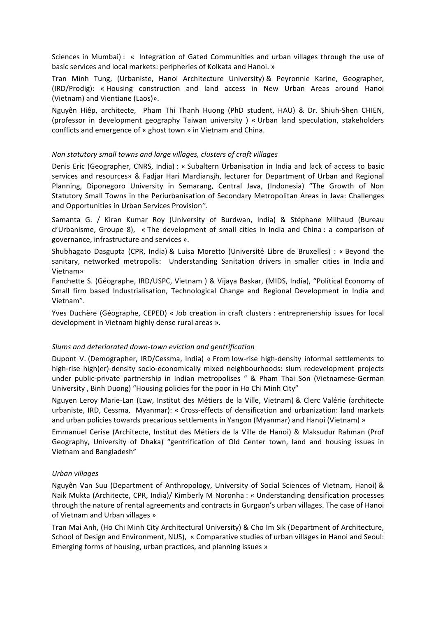Sciences in Mumbai) : « Integration of Gated Communities and urban villages through the use of basic services and local markets: peripheries of Kolkata and Hanoi. »

Tran Minh Tung, (Urbaniste, Hanoi Architecture University) & Peyronnie Karine, Geographer, (IRD/Prodig): « Housing construction and land access in New Urban Areas around Hanoi (Vietnam) and Vientiane (Laos)».

Nguyên Hiêp, architecte, Pham Thi Thanh Huong (PhD student, HAU) & Dr. Shiuh-Shen CHIEN, (professor in development geography Taiwan university ) « Urban land speculation, stakeholders conflicts and emergence of « ghost town » in Vietnam and China.

#### *Non statutory small towns and large villages, clusters of craft villages*

Denis Eric (Geographer, CNRS, India) : « Subaltern Urbanisation in India and lack of access to basic services and resources» & Fadjar Hari Mardiansjh, lecturer for Department of Urban and Regional Planning, Diponegoro University in Semarang, Central Java, (Indonesia) "The Growth of Non Statutory Small Towns in the Periurbanisation of Secondary Metropolitan Areas in Java: Challenges and Opportunities in Urban Services Provision".

Samanta G. / Kiran Kumar Roy (University of Burdwan, India) & Stéphane Milhaud (Bureau  $d'U$ rbanisme, Groupe 8), « The development of small cities in India and China : a comparison of governance, infrastructure and services ».

Shubhagato Dasgupta (CPR, India) & Luisa Moretto (Université Libre de Bruxelles) : « Beyond the sanitary, networked metropolis: Understanding Sanitation drivers in smaller cities in India and Vietnam» 

Fanchette S. (Géographe, IRD/USPC, Vietnam ) & Vijaya Baskar, (MIDS, India), "Political Economy of Small firm based Industrialisation, Technological Change and Regional Development in India and Vietnam".

Yves Duchère (Géographe, CEPED) « Job creation in craft clusters : entreprenership issues for local development in Vietnam highly dense rural areas ».

#### *Slums and deteriorated down-town eviction and gentrification*

Dupont V. (Demographer, IRD/Cessma, India) « From low-rise high-density informal settlements to high-rise high(er)-density socio-economically mixed neighbourhoods: slum redevelopment projects under public-private partnership in Indian metropolises " & Pham Thai Son (Vietnamese-German University, Binh Duong) "Housing policies for the poor in Ho Chi Minh City"

Nguyen Leroy Marie-Lan (Law, Institut des Métiers de la Ville, Vietnam) & Clerc Valérie (architecte urbaniste, IRD, Cessma, Myanmar): « Cross-effects of densification and urbanization: land markets and urban policies towards precarious settlements in Yangon (Myanmar) and Hanoi (Vietnam) »

Emmanuel Cerise (Architecte, Institut des Métiers de la Ville de Hanoi) & Maksudur Rahman (Prof Geography, University of Dhaka) "gentrification of Old Center town, land and housing issues in Vietnam and Bangladesh"

#### *Urban villages*

Nguyên Van Suu (Department of Anthropology, University of Social Sciences of Vietnam, Hanoi) & Naik Mukta (Architecte, CPR, India)/ Kimberly M Noronha : « Understanding densification processes through the nature of rental agreements and contracts in Gurgaon's urban villages. The case of Hanoi of Vietnam and Urban villages »

Tran Mai Anh, (Ho Chi Minh City Architectural University) & Cho Im Sik (Department of Architecture, School of Design and Environment, NUS), « Comparative studies of urban villages in Hanoi and Seoul: Emerging forms of housing, urban practices, and planning issues »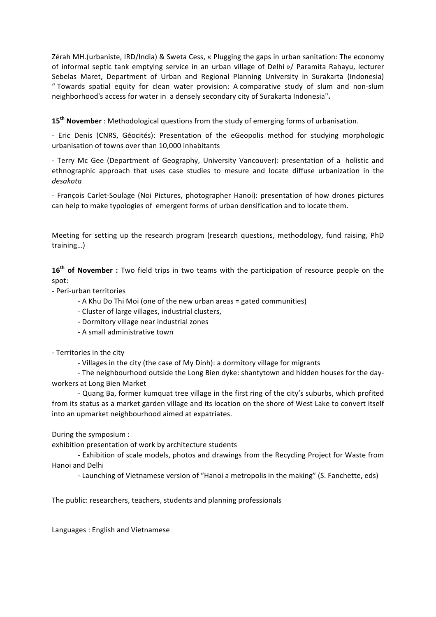Zérah MH.(urbaniste, IRD/India) & Sweta Cess, « Plugging the gaps in urban sanitation: The economy of informal septic tank emptying service in an urban village of Delhi »/ Paramita Rahayu, lecturer Sebelas Maret, Department of Urban and Regional Planning University in Surakarta (Indonesia) " Towards spatial equity for clean water provision: A comparative study of slum and non-slum neighborhood's access for water in a densely secondary city of Surakarta Indonesia".

15<sup>th</sup> November : Methodological questions from the study of emerging forms of urbanisation.

- Eric Denis (CNRS, Géocités): Presentation of the eGeopolis method for studying morphologic urbanisation of towns over than 10,000 inhabitants

- Terry Mc Gee (Department of Geography, University Vancouver): presentation of a holistic and ethnographic approach that uses case studies to mesure and locate diffuse urbanization in the *desakota*

- François Carlet-Soulage (Noi Pictures, photographer Hanoi): presentation of how drones pictures can help to make typologies of emergent forms of urban densification and to locate them.

Meeting for setting up the research program (research questions, methodology, fund raising, PhD training…)

16<sup>th</sup> of November : Two field trips in two teams with the participation of resource people on the spot:

- Peri-urban territories

- A Khu Do Thi Moi (one of the new urban areas = gated communities)
- Cluster of large villages, industrial clusters,
- Dormitory village near industrial zones
- A small administrative town

- Territories in the city

- Villages in the city (the case of My Dinh): a dormitory village for migrants

- The neighbourhood outside the Long Bien dyke: shantytown and hidden houses for the dayworkers at Long Bien Market

- Quang Ba, former kumquat tree village in the first ring of the city's suburbs, which profited from its status as a market garden village and its location on the shore of West Lake to convert itself into an upmarket neighbourhood aimed at expatriates.

During the symposium :

exhibition presentation of work by architecture students

- Exhibition of scale models, photos and drawings from the Recycling Project for Waste from Hanoi and Delhi

- Launching of Vietnamese version of "Hanoi a metropolis in the making" (S. Fanchette, eds)

The public: researchers, teachers, students and planning professionals

Languages: English and Vietnamese